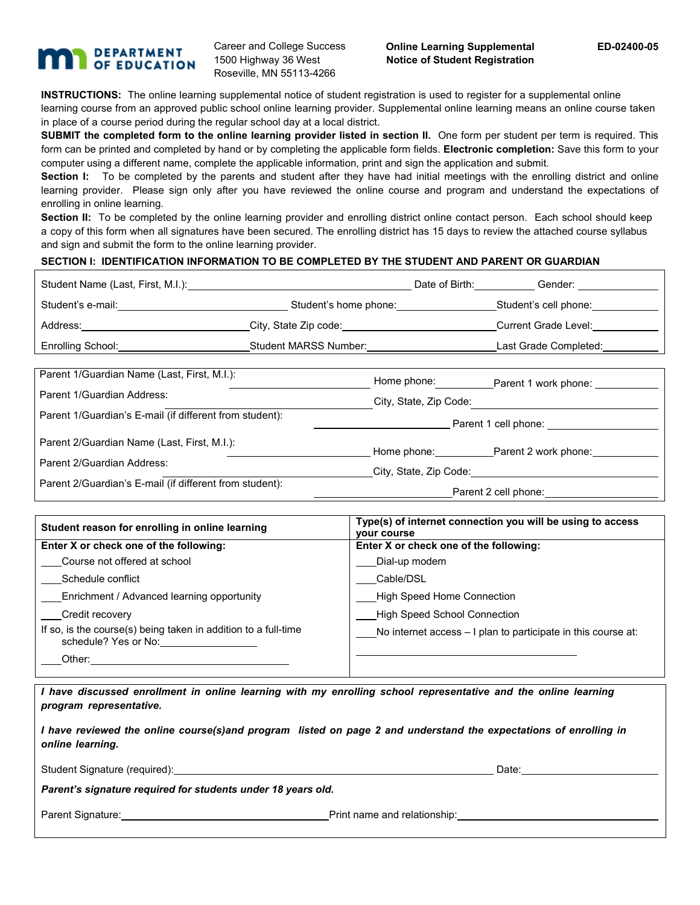## **DEPARTMENT** OF EDUCATION

Career and College Success 1500 Highway 36 West Roseville, MN 55113-4266

**INSTRUCTIONS:** The online learning supplemental notice of student registration is used to register for a supplemental online learning course from an approved public school online learning provider. Supplemental online learning means an online course taken in place of a course period during the regular school day at a local district.

**SUBMIT the completed form to the online learning provider listed in section II.** One form per student per term is required. This form can be printed and completed by hand or by completing the applicable form fields. **Electronic completion:** Save this form to your computer using a different name, complete the applicable information, print and sign the application and submit.

Section I: To be completed by the parents and student after they have had initial meetings with the enrolling district and online learning provider. Please sign only after you have reviewed the online course and program and understand the expectations of enrolling in online learning.

**Section II:** To be completed by the online learning provider and enrolling district online contact person. Each school should keep a copy of this form when all signatures have been secured. The enrolling district has 15 days to review the attached course syllabus and sign and submit the form to the online learning provider.

## **SECTION I: IDENTIFICATION INFORMATION TO BE COMPLETED BY THE STUDENT AND PARENT OR GUARDIAN**

| Student Name (Last, First, M.I.): |                       | Date of Birth: | Gender:               |
|-----------------------------------|-----------------------|----------------|-----------------------|
| Student's e-mail:                 | Student's home phone: |                | Student's cell phone: |
| Address:                          | City, State Zip code: |                | Current Grade Level:  |
| Enrolling School:                 | Student MARSS Number: |                | Last Grade Completed: |
|                                   |                       |                |                       |

| Parent 1/Guardian Name (Last, First, M.I.):             | Home phone:            | Parent 1 work phone:             |  |
|---------------------------------------------------------|------------------------|----------------------------------|--|
| Parent 1/Guardian Address:                              | City, State, Zip Code: |                                  |  |
| Parent 1/Guardian's E-mail (if different from student): | Parent 1 cell phone:   |                                  |  |
| Parent 2/Guardian Name (Last, First, M.I.):             |                        | Home phone: Parent 2 work phone: |  |
| Parent 2/Guardian Address:                              | City, State, Zip Code: |                                  |  |
| Parent 2/Guardian's E-mail (if different from student): | Parent 2 cell phone:   |                                  |  |

| Student reason for enrolling in online learning                                        | Type(s) of internet connection you will be using to access<br>vour course |  |  |  |
|----------------------------------------------------------------------------------------|---------------------------------------------------------------------------|--|--|--|
| Enter X or check one of the following:                                                 | Enter X or check one of the following:                                    |  |  |  |
| Course not offered at school                                                           | Dial-up modem                                                             |  |  |  |
| Schedule conflict                                                                      | Cable/DSL                                                                 |  |  |  |
| Enrichment / Advanced learning opportunity                                             | <b>High Speed Home Connection</b>                                         |  |  |  |
| Credit recovery                                                                        | <b>High Speed School Connection</b>                                       |  |  |  |
| If so, is the course(s) being taken in addition to a full-time<br>schedule? Yes or No: | No internet access – I plan to participate in this course at:             |  |  |  |
| Other:                                                                                 |                                                                           |  |  |  |

*I have discussed enrollment in online learning with my enrolling school representative and the online learning program representative.* 

|                  | I have reviewed the online course(s)and program listed on page 2 and understand the expectations of enrolling in |
|------------------|------------------------------------------------------------------------------------------------------------------|
| online learning. |                                                                                                                  |

Student Signature (required):  $\Box$  Date:  $\Box$  Date:  $\Box$ 

*Parent's signature required for students under 18 years old.*

Parent Signature: Notice and Superint name and relationship: Notice and relationship: